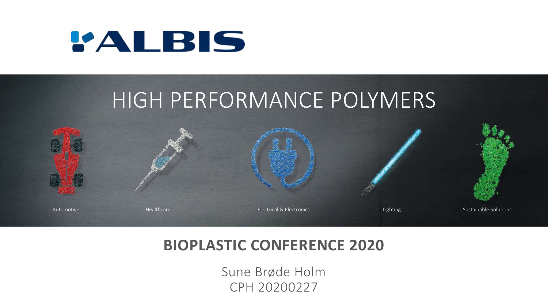



## **BIOPLASTIC CONFERENCE 2020**

Sune Brøde Holm CPH 20200227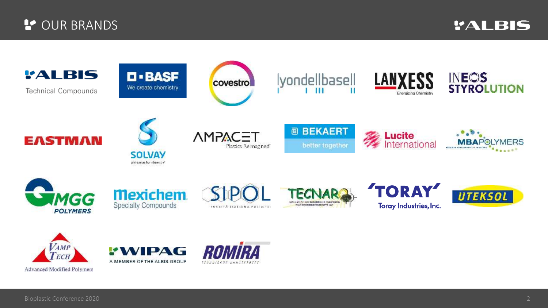### **P** OUR BRANDS

*'ALBIS* 



Advanced Modified Polymers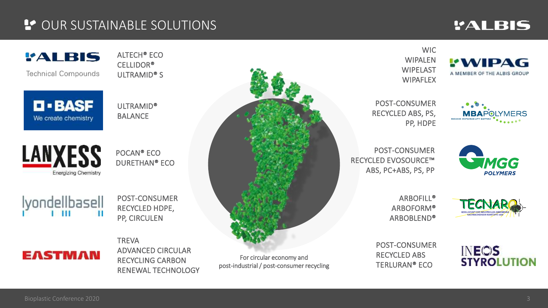### **L'OUR SUSTAINABLE SOLUTIONS**

## *'ALBIS*

**EWIPAG** 

A MEMBER OF THE ALBIS GROUP

### *'ALBIS*

**Technical Compounds** 

 $\blacksquare$  - BASF

We create chemistry

ALTECH® ECO CELLIDOR® ULTRAMID® S

ULTRAMID® BALANCE

**LANXESS** Energizing Chemistry

POCAN® ECO DURETHAN® ECO

lyondellbasell

POST-CONSUMER RECYCLED HDPE, PP, CIRCULEN

**TREVA** ADVANCED CIRCULAR RECYCLING CARBON RENEWAL TECHNOLOGY



post-industrial / post-consumer recycling

WIC WIPALEN WIPELAST **WIPAFLEX** 

POST-CONSUMER RECYCLED ABS, PS, PP, HDPE



POST-CONSUMER RECYCLED EVOSOURCE™ ABS, PC+ABS, PS, PP



**ARBOFILL®** ARBOFORM® ARBOBLEND®

**GESELLSCHAFT ZHR INDUSTRIELLEN ANWENDH** 

POST-CONSUMER RECYCLED ABS TERLURAN® ECO



**EASTMAN**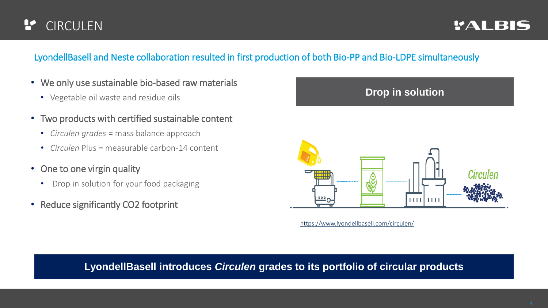#### r **CIRCULEN**

### LyondellBasell and Neste collaboration resulted in first production of both Bio-PP and Bio-LDPE simultaneously

- We only use sustainable bio-based raw materials
	- Vegetable oil waste and residue oils
- Two products with certified sustainable content
	- *Circulen grades* = mass balance approach
	- *Circulen* Plus = measurable carbon-14 content
- One to one virgin quality
	- Drop in solution for your food packaging
- Reduce significantly CO2 footprint



<https://www.lyondellbasell.com/circulen/>

### **LyondellBasell introduces** *Circulen* **grades to its portfolio of circular products**